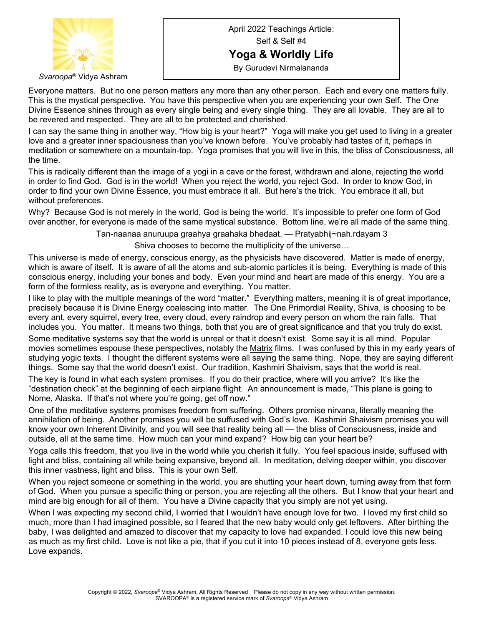

*Svaroopa*® Vidya Ashram

April 2022 Teachings Article: Self & Self #4 **Yoga & Worldly Life** By Gurudevi Nirmalananda

Everyone matters. But no one person matters any more than any other person. Each and every one matters fully. This is the mystical perspective. You have this perspective when you are experiencing your own Self. The One Divine Essence shines through as every single being and every single thing. They are all lovable. They are all to be revered and respected. They are all to be protected and cherished.

I can say the same thing in another way, "How big is your heart?" Yoga will make you get used to living in a greater love and a greater inner spaciousness than you've known before. You've probably had tastes of it, perhaps in meditation or somewhere on a mountain-top. Yoga promises that you will live in this, the bliss of Consciousness, all the time.

This is radically different than the image of a yogi in a cave or the forest, withdrawn and alone, rejecting the world in order to find God. God is in the world! When you reject the world, you reject God. In order to know God, in order to find your own Divine Essence, you must embrace it all. But here's the trick. You embrace it all, but without preferences.

Why? Because God is not merely in the world, God is being the world. It's impossible to prefer one form of God over another, for everyone is made of the same mystical substance. Bottom line, we're all made of the same thing.

Tan-naanaa anuruupa graahya graahaka bhedaat. — Pratyabhij~nah.rdayam 3

Shiva chooses to become the multiplicity of the universe…

This universe is made of energy, conscious energy, as the physicists have discovered. Matter is made of energy, which is aware of itself. It is aware of all the atoms and sub-atomic particles it is being. Everything is made of this conscious energy, including your bones and body. Even your mind and heart are made of this energy. You are a form of the formless reality, as is everyone and everything. You matter.

I like to play with the multiple meanings of the word "matter." Everything matters, meaning it is of great importance, precisely because it is Divine Energy coalescing into matter. The One Primordial Reality, Shiva, is choosing to be every ant, every squirrel, every tree, every cloud, every raindrop and every person on whom the rain falls. That includes you. You matter. It means two things, both that you are of great significance and that you truly do exist.

Some meditative systems say that the world is unreal or that it doesn't exist. Some say it is all mind. Popular movies sometimes espouse these perspectives, notably the Matrix films. I was confused by this in my early years of studying yogic texts. I thought the different systems were all saying the same thing. Nope, they are saying different things. Some say that the world doesn't exist. Our tradition, Kashmiri Shaivism, says that the world is real.

The key is found in what each system promises. If you do their practice, where will you arrive? It's like the "destination check" at the beginning of each airplane flight. An announcement is made, "This plane is going to Nome, Alaska. If that's not where you're going, get off now."

One of the meditative systems promises freedom from suffering. Others promise nirvana, literally meaning the annihilation of being. Another promises you will be suffused with God's love. Kashmiri Shaivism promises you will know your own Inherent Divinity, and you will see that reality being all — the bliss of Consciousness, inside and outside, all at the same time. How much can your mind expand? How big can your heart be?

Yoga calls this freedom, that you live in the world while you cherish it fully. You feel spacious inside, suffused with light and bliss, containing all while being expansive, beyond all. In meditation, delving deeper within, you discover this inner vastness, light and bliss. This is your own Self.

When you reject someone or something in the world, you are shutting your heart down, turning away from that form of God. When you pursue a specific thing or person, you are rejecting all the others. But I know that your heart and mind are big enough for all of them. You have a Divine capacity that you simply are not yet using.

When I was expecting my second child, I worried that I wouldn't have enough love for two. I loved my first child so much, more than I had imagined possible, so I feared that the new baby would only get leftovers. After birthing the baby, I was delighted and amazed to discover that my capacity to love had expanded. I could love this new being as much as my first child. Love is not like a pie, that if you cut it into 10 pieces instead of 8, everyone gets less. Love expands.